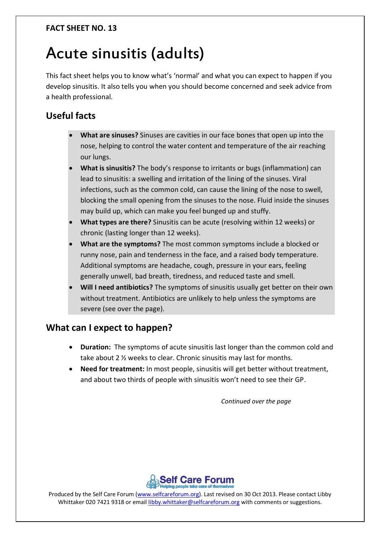#### **FACT SHEET NO. 13**

# Acute sinusitis (adults)

This fact sheet helps you to know what's 'normal' and what you can expect to happen if you develop sinusitis. It also tells you when you should become concerned and seek advice from a health professional.

## **Useful facts**

- **What are sinuses?** Sinuses are cavities in our face bones that open up into the nose, helping to control the water content and temperature of the air reaching our lungs.
- **What is sinusitis?** The body's response to irritants or bugs (inflammation) can lead to sinusitis: a swelling and irritation of the lining of the sinuses. Viral infections, such as the common cold, can cause the lining of the nose to swell, blocking the small opening from the sinuses to the nose. Fluid inside the sinuses may build up, which can make you feel bunged up and stuffy.
- **What types are there?** Sinusitis can be acute (resolving within 12 weeks) or chronic (lasting longer than 12 weeks).
- **What are the symptoms?** The most common symptoms include a blocked or runny nose, pain and tenderness in the face, and a raised body temperature. Additional symptoms are headache, cough, pressure in your ears, feeling generally unwell, bad breath, tiredness, and reduced taste and smell.
- **Will I need antibiotics?** The symptoms of sinusitis usually get better on their own without treatment. Antibiotics are unlikely to help unless the symptoms are severe (see over the page).

## **What can I expect to happen?**

- **Duration:** The symptoms of acute sinusitis last longer than the common cold and take about 2 ½ weeks to clear. Chronic sinusitis may last for months.
- **Need for treatment:** In most people, sinusitis will get better without treatment, and about two thirds of people with sinusitis won't need to see their GP.

*Continued over the page*



Produced by the Self Care Forum [\(www.selfcareforum.org\)](http://www.selfcareforum.org/). Last revised on 30 Oct 2013. Please contact Libby Whittaker 020 7421 9318 or emai[l libby.whittaker@selfcareforum.org](mailto:libby.whittaker@selfcareforum.org) with comments or suggestions.